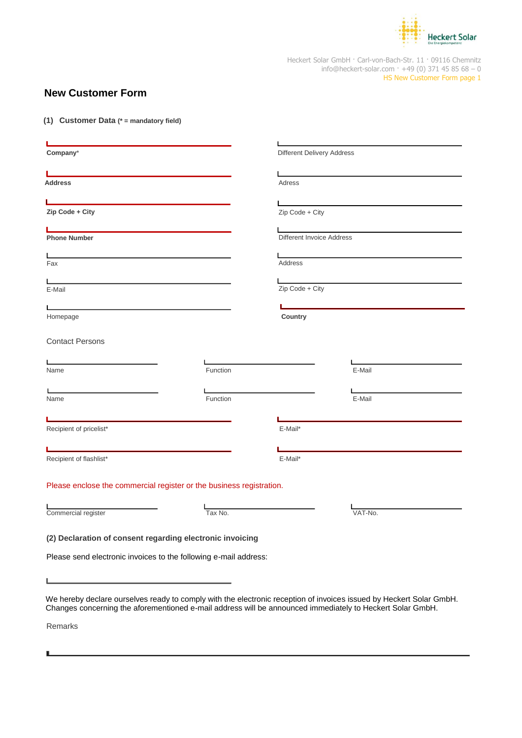

Heckert Solar GmbH · Carl-von-Bach-Str. 11 · 09116 Chemnitz info@heckert-solar.com · +49 (0) 371 45 85 68 - 0 HS New Customer Form page 1

# **New Customer Form**

**(1) Customer Data (\* = mandatory field)**

| Company*                                                                                                                                                                                                                             |          | <b>Different Delivery Address</b>                                                                                                       |                                                                                                                      |
|--------------------------------------------------------------------------------------------------------------------------------------------------------------------------------------------------------------------------------------|----------|-----------------------------------------------------------------------------------------------------------------------------------------|----------------------------------------------------------------------------------------------------------------------|
|                                                                                                                                                                                                                                      |          |                                                                                                                                         |                                                                                                                      |
| <b>Address</b>                                                                                                                                                                                                                       |          | Adress                                                                                                                                  | <u> 1989 - John Stein, Amerikaansk politiker (</u>                                                                   |
|                                                                                                                                                                                                                                      |          |                                                                                                                                         |                                                                                                                      |
| <u> 1980 - Johann Barn, mars ann an t-Amhain an t-Amhain an t-Amhain an t-Amhain an t-Amhain an t-Amhain an t-A</u>                                                                                                                  |          |                                                                                                                                         | the control of the control of the control of the control of the control of                                           |
| Zip Code + City                                                                                                                                                                                                                      |          | Zip Code + City                                                                                                                         |                                                                                                                      |
| <u> 1989 - Johann John Stein, fransk politik (d. 1989)</u>                                                                                                                                                                           |          |                                                                                                                                         | <u> 1989 - Johann Barbara, martxa alemaniar amerikan basal dan basal dan basal dan basal dan basal dan basal dan</u> |
| <b>Phone Number</b>                                                                                                                                                                                                                  |          | Different Invoice Address                                                                                                               |                                                                                                                      |
|                                                                                                                                                                                                                                      |          |                                                                                                                                         |                                                                                                                      |
| the control of the control of the control of the control of the control of the control of the control of the control of the control of the control of the control of the control of the control of the control of the control<br>Fax |          | Address                                                                                                                                 | the contract of the contract of the contract of the contract of the contract of                                      |
|                                                                                                                                                                                                                                      |          |                                                                                                                                         |                                                                                                                      |
| E-Mail                                                                                                                                                                                                                               |          | <u> Liste de la construcción de la construcción de la construcción de la construcción de la construcción de la c</u><br>Zip Code + City |                                                                                                                      |
|                                                                                                                                                                                                                                      |          |                                                                                                                                         |                                                                                                                      |
|                                                                                                                                                                                                                                      |          |                                                                                                                                         |                                                                                                                      |
| Homepage                                                                                                                                                                                                                             |          | Country                                                                                                                                 |                                                                                                                      |
|                                                                                                                                                                                                                                      |          |                                                                                                                                         |                                                                                                                      |
| <b>Contact Persons</b>                                                                                                                                                                                                               |          |                                                                                                                                         |                                                                                                                      |
| <u> 1989 - Johann Barbara, martxa alemaniar a</u>                                                                                                                                                                                    |          |                                                                                                                                         |                                                                                                                      |
| Name                                                                                                                                                                                                                                 | Function |                                                                                                                                         | E-Mail                                                                                                               |
|                                                                                                                                                                                                                                      |          |                                                                                                                                         |                                                                                                                      |
| <u> 1989 - Andrea Andrew Maria (h. 1989).</u><br>Name                                                                                                                                                                                | Function |                                                                                                                                         | E-Mail                                                                                                               |
|                                                                                                                                                                                                                                      |          |                                                                                                                                         |                                                                                                                      |
|                                                                                                                                                                                                                                      |          |                                                                                                                                         |                                                                                                                      |
| Recipient of pricelist*                                                                                                                                                                                                              |          | E-Mail*                                                                                                                                 |                                                                                                                      |
| <u> 1989 - Johann Barn, mars ann an t-Amhain an t-Amhain an t-Amhain an t-Amhain an t-Amhain an t-Amhain an t-A</u>                                                                                                                  |          |                                                                                                                                         |                                                                                                                      |
| Recipient of flashlist*                                                                                                                                                                                                              |          | E-Mail*                                                                                                                                 |                                                                                                                      |
|                                                                                                                                                                                                                                      |          |                                                                                                                                         |                                                                                                                      |
| Please enclose the commercial register or the business registration.                                                                                                                                                                 |          |                                                                                                                                         |                                                                                                                      |
|                                                                                                                                                                                                                                      |          |                                                                                                                                         |                                                                                                                      |
|                                                                                                                                                                                                                                      |          |                                                                                                                                         |                                                                                                                      |
| Commercial register                                                                                                                                                                                                                  | Tax No.  |                                                                                                                                         | VAT-No.                                                                                                              |
|                                                                                                                                                                                                                                      |          |                                                                                                                                         |                                                                                                                      |
| (2) Declaration of consent regarding electronic invoicing                                                                                                                                                                            |          |                                                                                                                                         |                                                                                                                      |
|                                                                                                                                                                                                                                      |          |                                                                                                                                         |                                                                                                                      |

Please send electronic invoices to the following e-mail address:

We hereby declare ourselves ready to comply with the electronic reception of invoices issued by Heckert Solar GmbH. Changes concerning the aforementioned e-mail address will be announced immediately to Heckert Solar GmbH.

Remarks

L